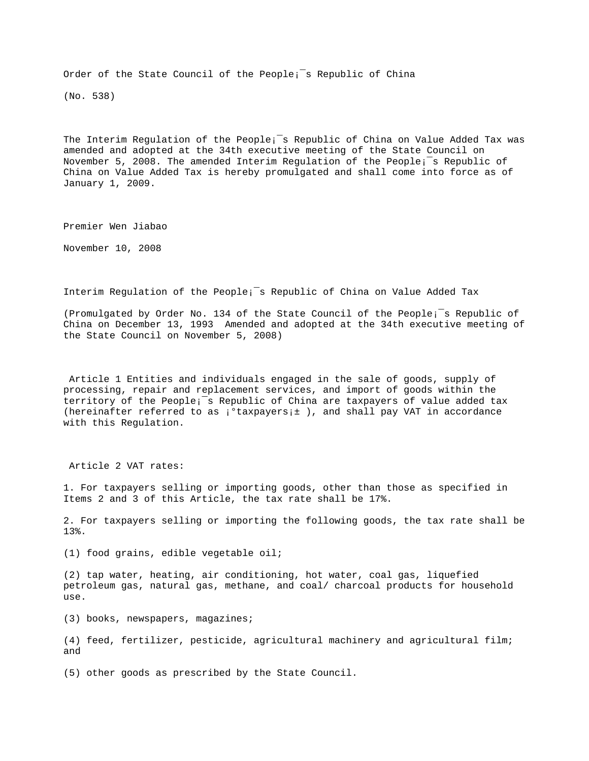Order of the State Council of the People;<sup>-</sup>s Republic of China

(No. 538)

The Interim Requlation of the People;<sup>-</sup>s Republic of China on Value Added Tax was amended and adopted at the 34th executive meeting of the State Council on November 5, 2008. The amended Interim Regulation of the People¡¯s Republic of China on Value Added Tax is hereby promulgated and shall come into force as of January 1, 2009.

Premier Wen Jiabao

November 10, 2008

Interim Regulation of the People¡¯s Republic of China on Value Added Tax

(Promulgated by Order No. 134 of the State Council of the People¡¯s Republic of China on December 13, 1993 Amended and adopted at the 34th executive meeting of the State Council on November 5, 2008)

 Article 1 Entities and individuals engaged in the sale of goods, supply of processing, repair and replacement services, and import of goods within the territory of the People¡¯s Republic of China are taxpayers of value added tax (hereinafter referred to as  $i^{\circ}$ taxpayers $i^{\pm}$ ), and shall pay VAT in accordance with this Regulation.

Article 2 VAT rates:

1. For taxpayers selling or importing goods, other than those as specified in Items 2 and 3 of this Article, the tax rate shall be 17%.

2. For taxpayers selling or importing the following goods, the tax rate shall be 13%.

(1) food grains, edible vegetable oil;

(2) tap water, heating, air conditioning, hot water, coal gas, liquefied petroleum gas, natural gas, methane, and coal/ charcoal products for household use.

(3) books, newspapers, magazines;

(4) feed, fertilizer, pesticide, agricultural machinery and agricultural film; and

(5) other goods as prescribed by the State Council.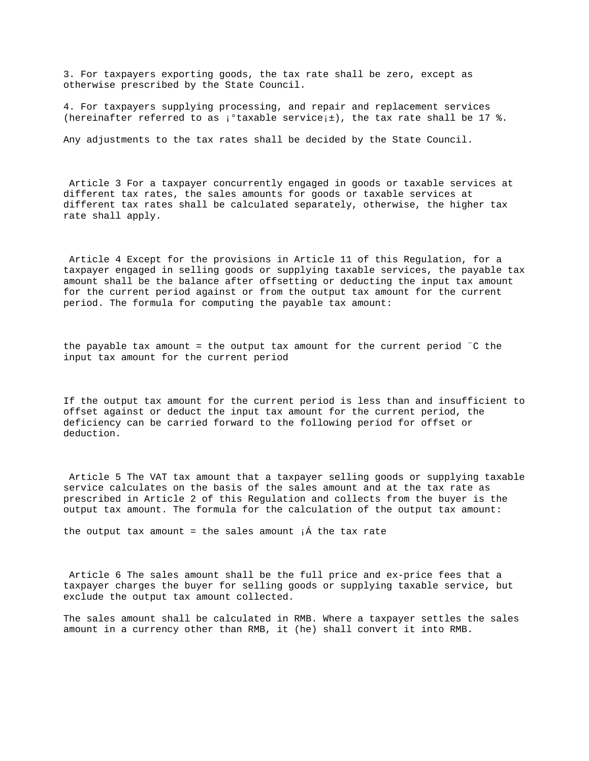3. For taxpayers exporting goods, the tax rate shall be zero, except as otherwise prescribed by the State Council.

4. For taxpayers supplying processing, and repair and replacement services (hereinafter referred to as  $i^{\circ}$ taxable service $i^{\pm}$ ), the tax rate shall be 17 %.

Any adjustments to the tax rates shall be decided by the State Council.

 Article 3 For a taxpayer concurrently engaged in goods or taxable services at different tax rates, the sales amounts for goods or taxable services at different tax rates shall be calculated separately, otherwise, the higher tax rate shall apply.

 Article 4 Except for the provisions in Article 11 of this Regulation, for a taxpayer engaged in selling goods or supplying taxable services, the payable tax amount shall be the balance after offsetting or deducting the input tax amount for the current period against or from the output tax amount for the current period. The formula for computing the payable tax amount:

the payable tax amount = the output tax amount for the current period ¨C the input tax amount for the current period

If the output tax amount for the current period is less than and insufficient to offset against or deduct the input tax amount for the current period, the deficiency can be carried forward to the following period for offset or deduction.

 Article 5 The VAT tax amount that a taxpayer selling goods or supplying taxable service calculates on the basis of the sales amount and at the tax rate as prescribed in Article 2 of this Regulation and collects from the buyer is the output tax amount. The formula for the calculation of the output tax amount:

the output tax amount = the sales amount  $\hat{A}$  the tax rate

 Article 6 The sales amount shall be the full price and ex-price fees that a taxpayer charges the buyer for selling goods or supplying taxable service, but exclude the output tax amount collected.

The sales amount shall be calculated in RMB. Where a taxpayer settles the sales amount in a currency other than RMB, it (he) shall convert it into RMB.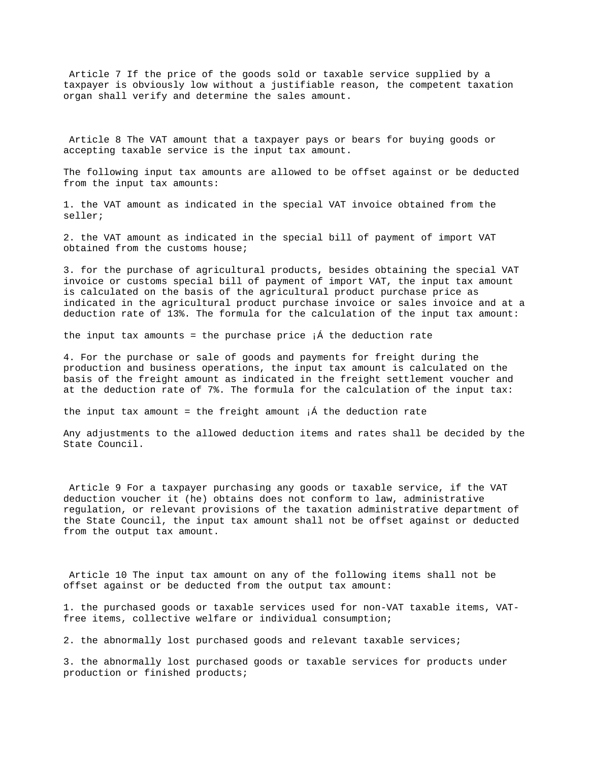Article 7 If the price of the goods sold or taxable service supplied by a taxpayer is obviously low without a justifiable reason, the competent taxation organ shall verify and determine the sales amount.

 Article 8 The VAT amount that a taxpayer pays or bears for buying goods or accepting taxable service is the input tax amount.

The following input tax amounts are allowed to be offset against or be deducted from the input tax amounts:

1. the VAT amount as indicated in the special VAT invoice obtained from the seller;

2. the VAT amount as indicated in the special bill of payment of import VAT obtained from the customs house;

3. for the purchase of agricultural products, besides obtaining the special VAT invoice or customs special bill of payment of import VAT, the input tax amount is calculated on the basis of the agricultural product purchase price as indicated in the agricultural product purchase invoice or sales invoice and at a deduction rate of 13%. The formula for the calculation of the input tax amount:

the input tax amounts = the purchase price  $i^{\hat{A}}$  the deduction rate

4. For the purchase or sale of goods and payments for freight during the production and business operations, the input tax amount is calculated on the basis of the freight amount as indicated in the freight settlement voucher and at the deduction rate of 7%. The formula for the calculation of the input tax:

the input tax amount = the freight amount  ${}_{i}$  a the deduction rate

Any adjustments to the allowed deduction items and rates shall be decided by the State Council.

 Article 9 For a taxpayer purchasing any goods or taxable service, if the VAT deduction voucher it (he) obtains does not conform to law, administrative regulation, or relevant provisions of the taxation administrative department of the State Council, the input tax amount shall not be offset against or deducted from the output tax amount.

 Article 10 The input tax amount on any of the following items shall not be offset against or be deducted from the output tax amount:

1. the purchased goods or taxable services used for non-VAT taxable items, VATfree items, collective welfare or individual consumption;

2. the abnormally lost purchased goods and relevant taxable services;

3. the abnormally lost purchased goods or taxable services for products under production or finished products;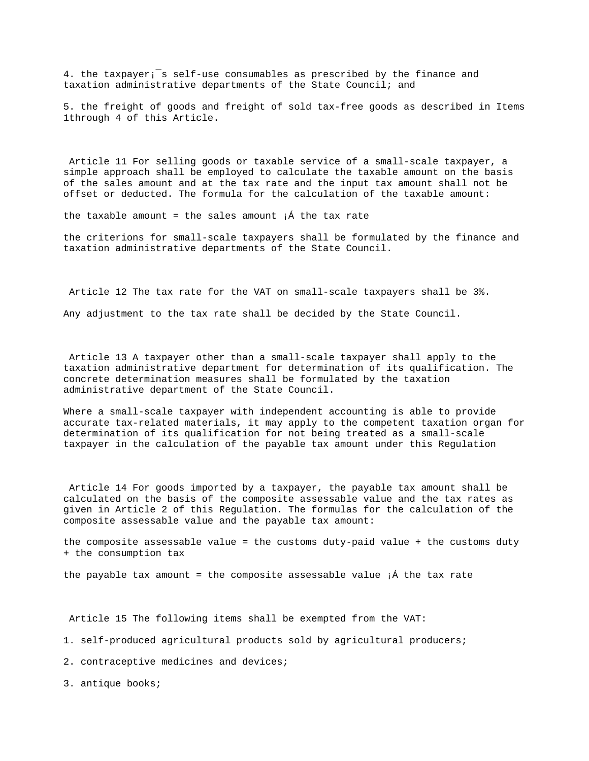4. the taxpayer¡¯s self-use consumables as prescribed by the finance and taxation administrative departments of the State Council; and

5. the freight of goods and freight of sold tax-free goods as described in Items 1through 4 of this Article.

 Article 11 For selling goods or taxable service of a small-scale taxpayer, a simple approach shall be employed to calculate the taxable amount on the basis of the sales amount and at the tax rate and the input tax amount shall not be offset or deducted. The formula for the calculation of the taxable amount:

the taxable amount = the sales amount  $i$  and the tax rate

the criterions for small-scale taxpayers shall be formulated by the finance and taxation administrative departments of the State Council.

Article 12 The tax rate for the VAT on small-scale taxpayers shall be 3%.

Any adjustment to the tax rate shall be decided by the State Council.

 Article 13 A taxpayer other than a small-scale taxpayer shall apply to the taxation administrative department for determination of its qualification. The concrete determination measures shall be formulated by the taxation administrative department of the State Council.

Where a small-scale taxpayer with independent accounting is able to provide accurate tax-related materials, it may apply to the competent taxation organ for determination of its qualification for not being treated as a small-scale taxpayer in the calculation of the payable tax amount under this Regulation

 Article 14 For goods imported by a taxpayer, the payable tax amount shall be calculated on the basis of the composite assessable value and the tax rates as given in Article 2 of this Regulation. The formulas for the calculation of the composite assessable value and the payable tax amount:

the composite assessable value = the customs duty-paid value + the customs duty + the consumption tax

the payable tax amount = the composite assessable value  $i$  f the tax rate

Article 15 The following items shall be exempted from the VAT:

1. self-produced agricultural products sold by agricultural producers;

2. contraceptive medicines and devices;

3. antique books;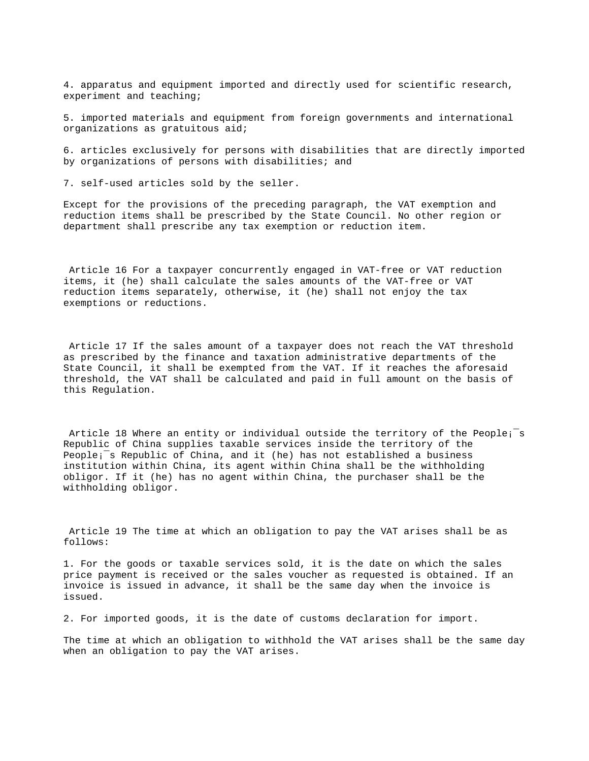4. apparatus and equipment imported and directly used for scientific research, experiment and teaching;

5. imported materials and equipment from foreign governments and international organizations as gratuitous aid;

6. articles exclusively for persons with disabilities that are directly imported by organizations of persons with disabilities; and

7. self-used articles sold by the seller.

Except for the provisions of the preceding paragraph, the VAT exemption and reduction items shall be prescribed by the State Council. No other region or department shall prescribe any tax exemption or reduction item.

 Article 16 For a taxpayer concurrently engaged in VAT-free or VAT reduction items, it (he) shall calculate the sales amounts of the VAT-free or VAT reduction items separately, otherwise, it (he) shall not enjoy the tax exemptions or reductions.

 Article 17 If the sales amount of a taxpayer does not reach the VAT threshold as prescribed by the finance and taxation administrative departments of the State Council, it shall be exempted from the VAT. If it reaches the aforesaid threshold, the VAT shall be calculated and paid in full amount on the basis of this Regulation.

Article 18 Where an entity or individual outside the territory of the People;<sup>-</sup>s Republic of China supplies taxable services inside the territory of the People¡¯s Republic of China, and it (he) has not established a business institution within China, its agent within China shall be the withholding obligor. If it (he) has no agent within China, the purchaser shall be the withholding obligor.

 Article 19 The time at which an obligation to pay the VAT arises shall be as follows:

1. For the goods or taxable services sold, it is the date on which the sales price payment is received or the sales voucher as requested is obtained. If an invoice is issued in advance, it shall be the same day when the invoice is issued.

2. For imported goods, it is the date of customs declaration for import.

The time at which an obligation to withhold the VAT arises shall be the same day when an obligation to pay the VAT arises.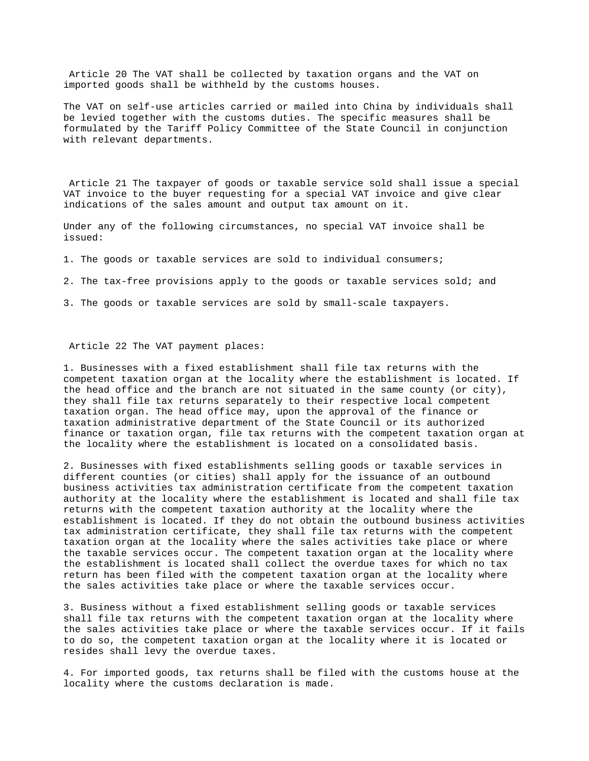Article 20 The VAT shall be collected by taxation organs and the VAT on imported goods shall be withheld by the customs houses.

The VAT on self-use articles carried or mailed into China by individuals shall be levied together with the customs duties. The specific measures shall be formulated by the Tariff Policy Committee of the State Council in conjunction with relevant departments.

 Article 21 The taxpayer of goods or taxable service sold shall issue a special VAT invoice to the buyer requesting for a special VAT invoice and give clear indications of the sales amount and output tax amount on it.

Under any of the following circumstances, no special VAT invoice shall be issued:

1. The goods or taxable services are sold to individual consumers;

2. The tax-free provisions apply to the goods or taxable services sold; and

3. The goods or taxable services are sold by small-scale taxpayers.

## Article 22 The VAT payment places:

1. Businesses with a fixed establishment shall file tax returns with the competent taxation organ at the locality where the establishment is located. If the head office and the branch are not situated in the same county (or city), they shall file tax returns separately to their respective local competent taxation organ. The head office may, upon the approval of the finance or taxation administrative department of the State Council or its authorized finance or taxation organ, file tax returns with the competent taxation organ at the locality where the establishment is located on a consolidated basis.

2. Businesses with fixed establishments selling goods or taxable services in different counties (or cities) shall apply for the issuance of an outbound business activities tax administration certificate from the competent taxation authority at the locality where the establishment is located and shall file tax returns with the competent taxation authority at the locality where the establishment is located. If they do not obtain the outbound business activities tax administration certificate, they shall file tax returns with the competent taxation organ at the locality where the sales activities take place or where the taxable services occur. The competent taxation organ at the locality where the establishment is located shall collect the overdue taxes for which no tax return has been filed with the competent taxation organ at the locality where the sales activities take place or where the taxable services occur.

3. Business without a fixed establishment selling goods or taxable services shall file tax returns with the competent taxation organ at the locality where the sales activities take place or where the taxable services occur. If it fails to do so, the competent taxation organ at the locality where it is located or resides shall levy the overdue taxes.

4. For imported goods, tax returns shall be filed with the customs house at the locality where the customs declaration is made.